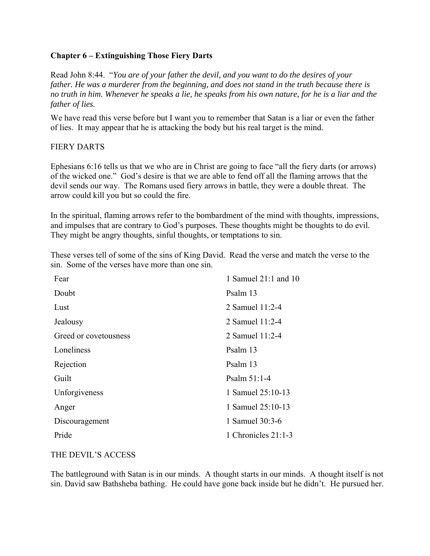## **Chapter 6 – Extinguishing Those Fiery Darts**

Read John 8:44. "*You are of your father the devil, and you want to do the desires of your father. He was a murderer from the beginning, and does not stand in the truth because there is no truth in him. Whenever he speaks a lie, he speaks from his own nature, for he is a liar and the father of lies.* 

We have read this verse before but I want you to remember that Satan is a liar or even the father of lies. It may appear that he is attacking the body but his real target is the mind.

## FIERY DARTS

Ephesians 6:16 tells us that we who are in Christ are going to face "all the fiery darts (or arrows) of the wicked one." God's desire is that we are able to fend off all the flaming arrows that the devil sends our way. The Romans used fiery arrows in battle, they were a double threat. The arrow could kill you but so could the fire.

In the spiritual, flaming arrows refer to the bombardment of the mind with thoughts, impressions, and impulses that are contrary to God's purposes. These thoughts might be thoughts to do evil. They might be angry thoughts, sinful thoughts, or temptations to sin.

These verses tell of some of the sins of King David. Read the verse and match the verse to the sin. Some of the verses have more than one sin.

| 1 Samuel 21:1 and 10 |
|----------------------|
| Psalm 13             |
| 2 Samuel 11:2-4      |
| 2 Samuel 11:2-4      |
| 2 Samuel 11:2-4      |
| Psalm 13             |
| Psalm 13             |
| Psalm $51:1-4$       |
| 1 Samuel 25:10-13    |
| 1 Samuel 25:10-13    |
| 1 Samuel 30:3-6      |
| 1 Chronicles 21:1-3  |
|                      |

#### THE DEVIL'S ACCESS

The battleground with Satan is in our minds. A thought starts in our minds. A thought itself is not sin. David saw Bathsheba bathing. He could have gone back inside but he didn't. He pursued her.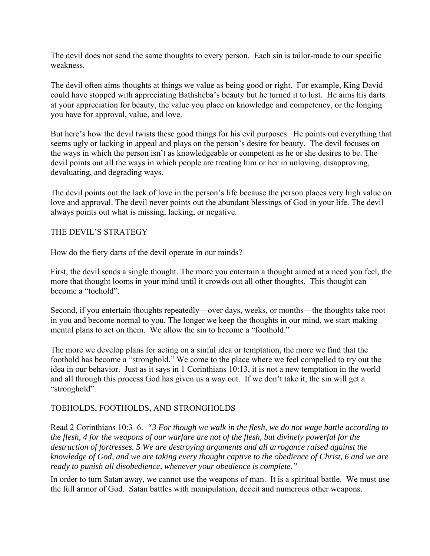The devil does not send the same thoughts to every person. Each sin is tailor-made to our specific weakness.

The devil often aims thoughts at things we value as being good or right. For example, King David could have stopped with appreciating Bathsheba's beauty but he turned it to lust. He aims his darts at your appreciation for beauty, the value you place on knowledge and competency, or the longing you have for approval, value, and love.

But here's how the devil twists these good things for his evil purposes. He points out everything that seems ugly or lacking in appeal and plays on the person's desire for beauty. The devil focuses on the ways in which the person isn't as knowledgeable or competent as he or she desires to be. The devil points out all the ways in which people are treating him or her in unloving, disapproving, devaluating, and degrading ways.

The devil points out the lack of love in the person's life because the person places very high value on love and approval. The devil never points out the abundant blessings of God in your life. The devil always points out what is missing, lacking, or negative.

## THE DEVIL'S STRATEGY

How do the fiery darts of the devil operate in our minds?

First, the devil sends a single thought. The more you entertain a thought aimed at a need you feel, the more that thought looms in your mind until it crowds out all other thoughts. This thought can become a "toehold".

Second, if you entertain thoughts repeatedly—over days, weeks, or months—the thoughts take root in you and become normal to you. The longer we keep the thoughts in our mind, we start making mental plans to act on them. We allow the sin to become a "foothold."

The more we develop plans for acting on a sinful idea or temptation, the more we find that the foothold has become a "stronghold." We come to the place where we feel compelled to try out the idea in our behavior. Just as it says in 1 Corinthians 10:13, it is not a new temptation in the world and all through this process God has given us a way out. If we don't take it, the sin will get a "stronghold".

#### TOEHOLDS, FOOTHOLDS, AND STRONGHOLDS

Read 2 Corinthians 10:3–6. *"3 For though we walk in the flesh, we do not wage battle according to the flesh, 4 for the weapons of our warfare are not of the flesh, but divinely powerful for the destruction of fortresses. 5 We are destroying arguments and all arrogance raised against the knowledge of God, and we are taking every thought captive to the obedience of Christ, 6 and we are ready to punish all disobedience, whenever your obedience is complete."*

In order to turn Satan away, we cannot use the weapons of man. It is a spiritual battle. We must use the full armor of God. Satan battles with manipulation, deceit and numerous other weapons.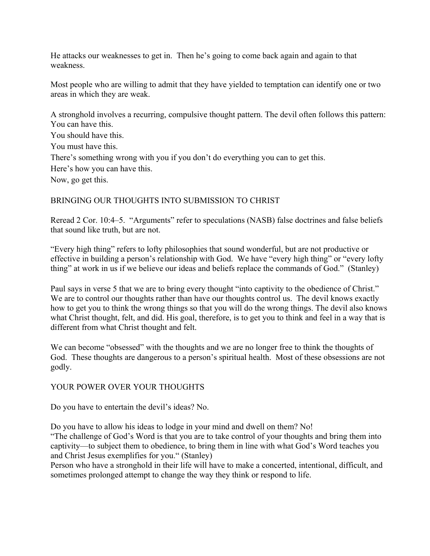He attacks our weaknesses to get in. Then he's going to come back again and again to that weakness.

Most people who are willing to admit that they have yielded to temptation can identify one or two areas in which they are weak.

A stronghold involves a recurring, compulsive thought pattern. The devil often follows this pattern: You can have this.

You should have this.

You must have this.

There's something wrong with you if you don't do everything you can to get this.

Here's how you can have this.

Now, go get this.

# BRINGING OUR THOUGHTS INTO SUBMISSION TO CHRIST

Reread 2 Cor. 10:4–5. "Arguments" refer to speculations (NASB) false doctrines and false beliefs that sound like truth, but are not.

"Every high thing" refers to lofty philosophies that sound wonderful, but are not productive or effective in building a person's relationship with God. We have "every high thing" or "every lofty thing" at work in us if we believe our ideas and beliefs replace the commands of God." (Stanley)

Paul says in verse 5 that we are to bring every thought "into captivity to the obedience of Christ." We are to control our thoughts rather than have our thoughts control us. The devil knows exactly how to get you to think the wrong things so that you will do the wrong things. The devil also knows what Christ thought, felt, and did. His goal, therefore, is to get you to think and feel in a way that is different from what Christ thought and felt.

We can become "obsessed" with the thoughts and we are no longer free to think the thoughts of God. These thoughts are dangerous to a person's spiritual health. Most of these obsessions are not godly.

# YOUR POWER OVER YOUR THOUGHTS

Do you have to entertain the devil's ideas? No.

Do you have to allow his ideas to lodge in your mind and dwell on them? No!

"The challenge of God's Word is that you are to take control of your thoughts and bring them into captivity—to subject them to obedience, to bring them in line with what God's Word teaches you and Christ Jesus exemplifies for you." (Stanley)

Person who have a stronghold in their life will have to make a concerted, intentional, difficult, and sometimes prolonged attempt to change the way they think or respond to life.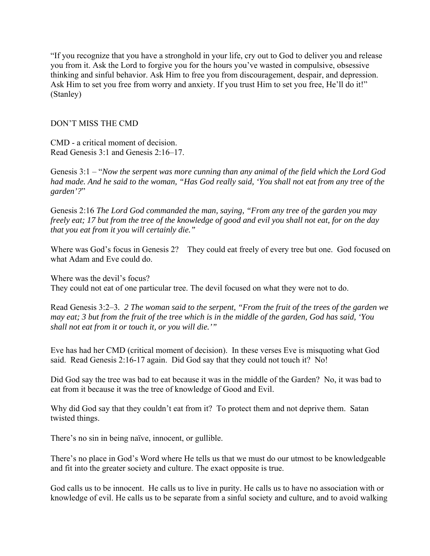"If you recognize that you have a stronghold in your life, cry out to God to deliver you and release you from it. Ask the Lord to forgive you for the hours you've wasted in compulsive, obsessive thinking and sinful behavior. Ask Him to free you from discouragement, despair, and depression. Ask Him to set you free from worry and anxiety. If you trust Him to set you free, He'll do it!" (Stanley)

### DON'T MISS THE CMD

CMD - a critical moment of decision. Read Genesis 3:1 and Genesis 2:16–17.

Genesis 3:1 – "*Now the serpent was more cunning than any animal of the field which the Lord God had made. And he said to the woman, "Has God really said, 'You shall not eat from any tree of the garden'?*"

Genesis 2:16 *The Lord God commanded the man, saying, "From any tree of the garden you may freely eat; 17 but from the tree of the knowledge of good and evil you shall not eat, for on the day that you eat from it you will certainly die."* 

Where was God's focus in Genesis 2? They could eat freely of every tree but one. God focused on what Adam and Eve could do.

Where was the devil's focus? They could not eat of one particular tree. The devil focused on what they were not to do.

Read Genesis 3:2–3*. 2 The woman said to the serpent, "From the fruit of the trees of the garden we may eat; 3 but from the fruit of the tree which is in the middle of the garden, God has said, 'You shall not eat from it or touch it, or you will die.'"* 

Eve has had her CMD (critical moment of decision). In these verses Eve is misquoting what God said. Read Genesis 2:16-17 again. Did God say that they could not touch it? No!

Did God say the tree was bad to eat because it was in the middle of the Garden? No, it was bad to eat from it because it was the tree of knowledge of Good and Evil.

Why did God say that they couldn't eat from it? To protect them and not deprive them. Satan twisted things.

There's no sin in being naïve, innocent, or gullible.

There's no place in God's Word where He tells us that we must do our utmost to be knowledgeable and fit into the greater society and culture. The exact opposite is true.

God calls us to be innocent. He calls us to live in purity. He calls us to have no association with or knowledge of evil. He calls us to be separate from a sinful society and culture, and to avoid walking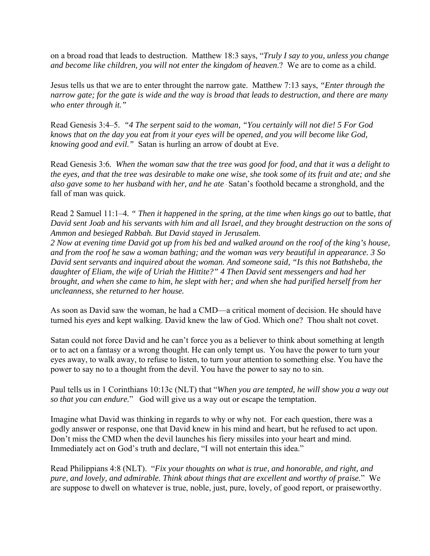on a broad road that leads to destruction. Matthew 18:3 says, "*Truly I say to you, unless you change and become like children, you will not enter the kingdom of heaven*.? We are to come as a child.

Jesus tells us that we are to enter throught the narrow gate. Matthew 7:13 says, *"Enter through the narrow gate; for the gate is wide and the way is broad that leads to destruction, and there are many who enter through it."* 

Read Genesis 3:4–5. *"4 The serpent said to the woman, "You certainly will not die! 5 For God knows that on the day you eat from it your eyes will be opened, and you will become like God, knowing good and evil."* Satan is hurling an arrow of doubt at Eve.

Read Genesis 3:6*. When the woman saw that the tree was good for food, and that it was a delight to the eyes, and that the tree was desirable to make one wise, she took some of its fruit and ate; and she also gave some to her husband with her, and he ate*. Satan's foothold became a stronghold, and the fall of man was quick.

Read 2 Samuel 11:1–4*. " Then it happened in the spring, at the time when kings go out* to battle*, that David sent Joab and his servants with him and all Israel, and they brought destruction on the sons of Ammon and besieged Rabbah. But David stayed in Jerusalem.* 

*2 Now at evening time David got up from his bed and walked around on the roof of the king's house, and from the roof he saw a woman bathing; and the woman was very beautiful in appearance. 3 So David sent servants and inquired about the woman. And someone said, "Is this not Bathsheba, the daughter of Eliam, the wife of Uriah the Hittite?" 4 Then David sent messengers and had her brought, and when she came to him, he slept with her; and when she had purified herself from her uncleanness, she returned to her house.* 

As soon as David saw the woman, he had a CMD—a critical moment of decision. He should have turned his *eyes* and kept walking. David knew the law of God. Which one? Thou shalt not covet.

Satan could not force David and he can't force you as a believer to think about something at length or to act on a fantasy or a wrong thought. He can only tempt us. You have the power to turn your eyes away, to walk away, to refuse to listen, to turn your attention to something else. You have the power to say no to a thought from the devil. You have the power to say no to sin.

Paul tells us in 1 Corinthians 10:13c (NLT) that "*When you are tempted, he will show you a way out so that you can endure.*" God will give us a way out or escape the temptation.

Imagine what David was thinking in regards to why or why not. For each question, there was a godly answer or response, one that David knew in his mind and heart, but he refused to act upon. Don't miss the CMD when the devil launches his fiery missiles into your heart and mind. Immediately act on God's truth and declare, "I will not entertain this idea."

Read Philippians 4:8 (NLT). "*Fix your thoughts on what is true, and honorable, and right, and pure, and lovely, and admirable. Think about things that are excellent and worthy of praise.*" We are suppose to dwell on whatever is true, noble, just, pure, lovely, of good report, or praiseworthy.